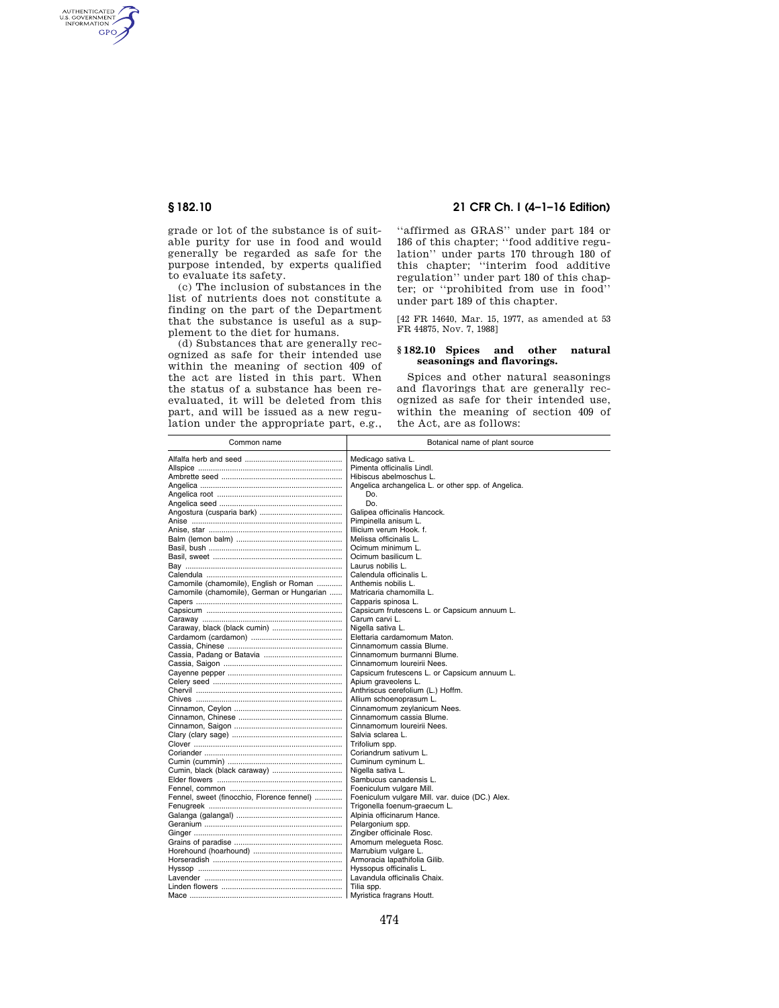AUTHENTICATED<br>U.S. GOVERNMENT<br>INFORMATION GPO

> grade or lot of the substance is of suitable purity for use in food and would generally be regarded as safe for the purpose intended, by experts qualified to evaluate its safety.

> (c) The inclusion of substances in the list of nutrients does not constitute a finding on the part of the Department that the substance is useful as a supplement to the diet for humans.

> (d) Substances that are generally recognized as safe for their intended use within the meaning of section 409 of the act are listed in this part. When the status of a substance has been reevaluated, it will be deleted from this part, and will be issued as a new regulation under the appropriate part, e.g.,

# **§ 182.10 21 CFR Ch. I (4–1–16 Edition)**

''affirmed as GRAS'' under part 184 or 186 of this chapter; ''food additive regulation'' under parts 170 through 180 of this chapter; ''interim food additive regulation'' under part 180 of this chapter; or ''prohibited from use in food'' under part 189 of this chapter.

[42 FR 14640, Mar. 15, 1977, as amended at 53 FR 44875, Nov. 7, 1988]

## **§ 182.10 Spices and other natural seasonings and flavorings.**

Spices and other natural seasonings and flavorings that are generally recognized as safe for their intended use, within the meaning of section 409 of the Act, are as follows:

| Common name                                | Botanical name of plant source                      |
|--------------------------------------------|-----------------------------------------------------|
|                                            | Medicago sativa L.                                  |
|                                            | Pimenta officinalis Lindl.                          |
|                                            | Hibiscus abelmoschus L.                             |
|                                            | Angelica archangelica L. or other spp. of Angelica. |
|                                            | Do.                                                 |
|                                            | Do.                                                 |
|                                            | Galipea officinalis Hancock.                        |
|                                            | Pimpinella anisum L.                                |
|                                            | Illicium verum Hook. f.                             |
|                                            | Melissa officinalis L.                              |
|                                            | Ocimum minimum L.                                   |
|                                            | Ocimum basilicum L.                                 |
|                                            | Laurus nobilis L.                                   |
|                                            | Calendula officinalis L.                            |
| Camomile (chamomile), English or Roman     | Anthemis nobilis L.                                 |
| Camomile (chamomile), German or Hungarian  | Matricaria chamomilla L.                            |
|                                            | Capparis spinosa L.                                 |
|                                            | Capsicum frutescens L. or Capsicum annuum L.        |
|                                            | Carum carvi L.                                      |
|                                            | Nigella sativa L.                                   |
|                                            | Elettaria cardamomum Maton.                         |
|                                            | Cinnamomum cassia Blume.                            |
|                                            | Cinnamomum burmanni Blume.                          |
|                                            | Cinnamomum Ioureirii Nees.                          |
|                                            | Capsicum frutescens L. or Capsicum annuum L.        |
|                                            | Apium graveolens L.                                 |
|                                            | Anthriscus cerefolium (L.) Hoffm.                   |
|                                            | Allium schoenoprasum L.                             |
|                                            | Cinnamomum zeylanicum Nees.                         |
|                                            | Cinnamomum cassia Blume.                            |
|                                            | Cinnamomum Ioureirii Nees.                          |
|                                            | Salvia sclarea L.                                   |
|                                            | Trifolium spp.                                      |
|                                            | Coriandrum sativum L.                               |
|                                            | Cuminum cyminum L.                                  |
|                                            | Nigella sativa L.                                   |
|                                            | Sambucus canadensis L.                              |
|                                            | Foeniculum vulgare Mill.                            |
| Fennel, sweet (finocchio, Florence fennel) | Foeniculum vulgare Mill. var. duice (DC.) Alex.     |
|                                            | Trigonella foenum-graecum L.                        |
|                                            | Alpinia officinarum Hance.                          |
|                                            | Pelargonium spp.                                    |
|                                            | Zingiber officinale Rosc.                           |
|                                            | Amomum melegueta Rosc.                              |
|                                            | Marrubium vulgare L.                                |
|                                            | Armoracia lapathifolia Gilib.                       |
|                                            | Hyssopus officinalis L.                             |
|                                            | Lavandula officinalis Chaix.                        |
|                                            | Tilia spp.                                          |
|                                            | Myristica fragrans Houtt.                           |